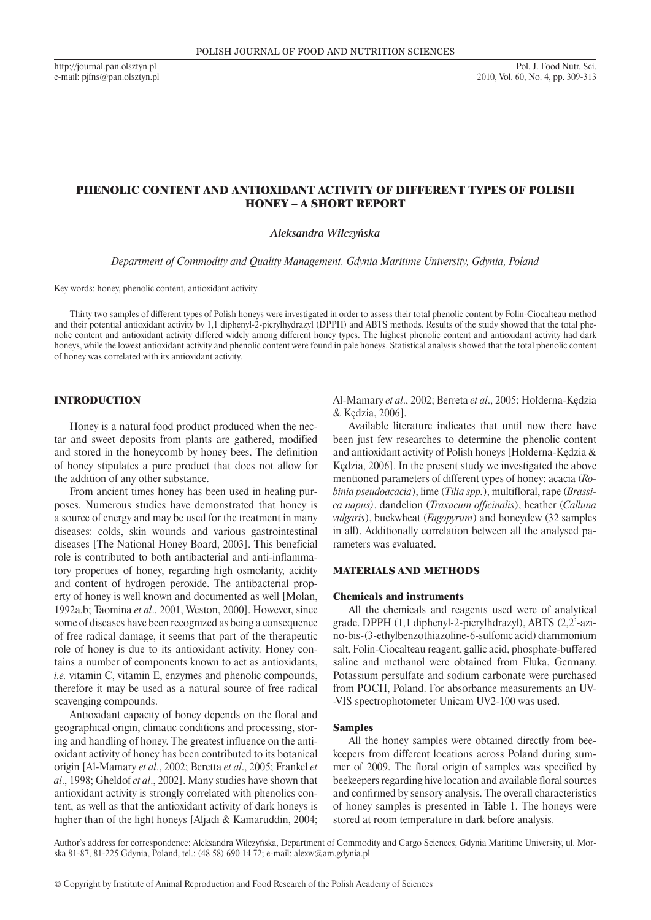http://journal.pan.olsztyn.pl e-mail: pjfns@pan.olsztyn.pl

# PHENOLIC CONTENT AND ANTIOXIDANT ACTIVITY OF DIFFERENT TYPES OF POLISH HONEY – A SHORT REPORT

### *Aleksandra Wilczyńska*

*Department of Commodity and Quality Management, Gdynia Maritime University, Gdynia, Poland*

Key words: honey, phenolic content, antioxidant activity

Thirty two samples of different types of Polish honeys were investigated in order to assess their total phenolic content by Folin-Ciocalteau method and their potential antioxidant activity by 1,1 diphenyl-2-picrylhydrazyl (DPPH) and ABTS methods. Results of the study showed that the total phenolic content and antioxidant activity differed widely among different honey types. The highest phenolic content and antioxidant activity had dark honeys, while the lowest antioxidant activity and phenolic content were found in pale honeys. Statistical analysis showed that the total phenolic content of honey was correlated with its antioxidant activity.

## INTRODUCTION

Honey is a natural food product produced when the nectar and sweet deposits from plants are gathered, modified and stored in the honeycomb by honey bees. The definition of honey stipulates a pure product that does not allow for the addition of any other substance.

From ancient times honey has been used in healing purposes. Numerous studies have demonstrated that honey is a source of energy and may be used for the treatment in many diseases: colds, skin wounds and various gastrointestinal diseases [The National Honey Board, 2003]. This beneficial role is contributed to both antibacterial and anti-inflammatory properties of honey, regarding high osmolarity, acidity and content of hydrogen peroxide. The antibacterial property of honey is well known and documented as well [Molan, 1992a,b; Taomina *et al*., 2001, Weston, 2000]. However, since some of diseases have been recognized as being a consequence of free radical damage, it seems that part of the therapeutic role of honey is due to its antioxidant activity. Honey contains a number of components known to act as antioxidants, *i.e.* vitamin C, vitamin E, enzymes and phenolic compounds, therefore it may be used as a natural source of free radical scavenging compounds.

Antioxidant capacity of honey depends on the floral and geographical origin, climatic conditions and processing, storing and handling of honey. The greatest influence on the antioxidant activity of honey has been contributed to its botanical origin [Al-Mamary *et al*., 2002; Beretta *et al*., 2005; Frankel *et al*., 1998; Gheldof *et al*., 2002]. Many studies have shown that antioxidant activity is strongly correlated with phenolics content, as well as that the antioxidant activity of dark honeys is higher than of the light honeys [Aljadi & Kamaruddin, 2004; Al-Mamary *et al*., 2002; Berreta *et al*., 2005; Hołderna-Kędzia & Kędzia, 2006].

Available literature indicates that until now there have been just few researches to determine the phenolic content and antioxidant activity of Polish honeys [Hołderna-Kędzia & Kędzia, 2006]. In the present study we investigated the above mentioned parameters of different types of honey: acacia (*Robinia pseudoacacia*), lime (*Tilia spp.*), multifloral, rape (*Brassica napus)*, dandelion (*Traxacum officinalis*), heather (*Calluna vulgaris*), buckwheat (*Fagopyrum*) and honeydew (32 samples in all). Additionally correlation between all the analysed parameters was evaluated.

# MATERIALS AND METHODS

#### Chemicals and instruments

All the chemicals and reagents used were of analytical grade. DPPH (1,1 diphenyl-2-picrylhdrazyl), ABTS (2,2'-azino-bis-(3-ethylbenzothiazoline-6-sulfonic acid) diammonium salt, Folin-Ciocalteau reagent, gallic acid, phosphate-buffered saline and methanol were obtained from Fluka, Germany. Potassium persulfate and sodium carbonate were purchased from POCH, Poland. For absorbance measurements an UV- -VIS spectrophotometer Unicam UV2-100 was used.

### Samples

All the honey samples were obtained directly from beekeepers from different locations across Poland during summer of 2009. The floral origin of samples was specified by beekeepers regarding hive location and available floral sources and confirmed by sensory analysis. The overall characteristics of honey samples is presented in Table 1. The honeys were stored at room temperature in dark before analysis.

Author's address for correspondence: Aleksandra Wilczyńska, Department of Commodity and Cargo Sciences, Gdynia Maritime University, ul. Morska 81-87, 81-225 Gdynia, Poland, tel.: (48 58) 690 14 72; e-mail: alexw@am.gdynia.pl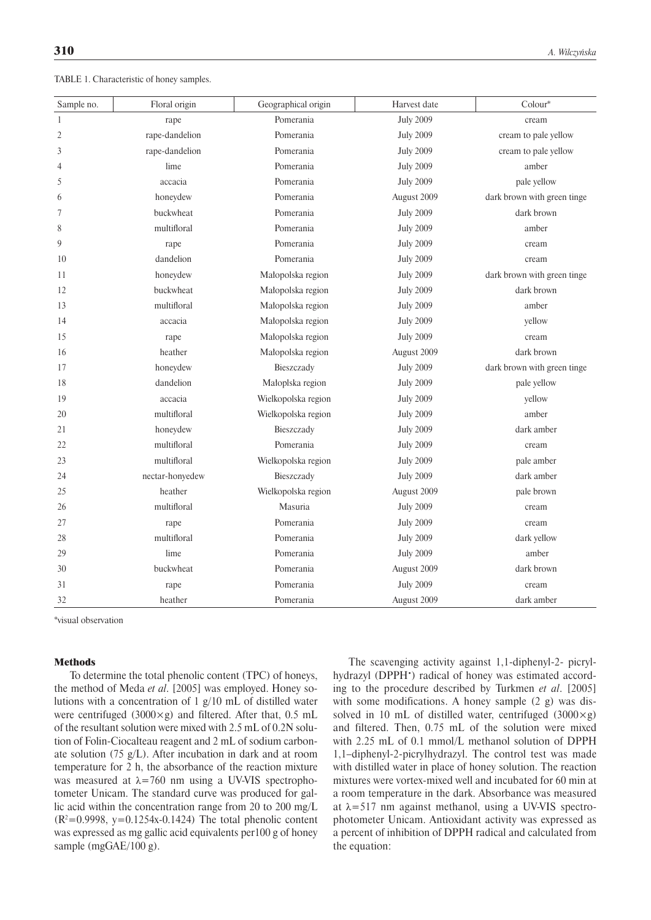| Sample no.     | Floral origin   | Geographical origin | Harvest date                   | Colour*                     |
|----------------|-----------------|---------------------|--------------------------------|-----------------------------|
| $\mathbf{1}$   | rape            | Pomerania           | <b>July 2009</b>               | cream                       |
| $\overline{2}$ | rape-dandelion  | Pomerania           | <b>July 2009</b>               | cream to pale yellow        |
| 3              | rape-dandelion  | Pomerania           | <b>July 2009</b>               | cream to pale yellow        |
| $\overline{4}$ | lime            | Pomerania           | <b>July 2009</b>               | amber                       |
| 5              | accacia         | Pomerania           | <b>July 2009</b>               | pale yellow                 |
| 6              | honeydew        | Pomerania           | August 2009                    | dark brown with green tinge |
| 7              | buckwheat       | Pomerania           | <b>July 2009</b>               | dark brown                  |
| 8              | multifloral     | Pomerania           | <b>July 2009</b>               | amber                       |
| 9              | rape            | Pomerania           | <b>July 2009</b>               | cream                       |
| 10             | dandelion       | Pomerania           | <b>July 2009</b>               | cream                       |
| 11             | honeydew        | Małopolska region   | <b>July 2009</b>               | dark brown with green tinge |
| 12             | buckwheat       | Małopolska region   | <b>July 2009</b>               | dark brown                  |
| 13             | multifloral     | Małopolska region   | <b>July 2009</b>               | amber                       |
| 14             | accacia         | Małopolska region   | <b>July 2009</b>               | yellow                      |
| 15             | rape            | Małopolska region   | <b>July 2009</b>               | cream                       |
| 16             | heather         | Małopolska region   | August 2009                    | dark brown                  |
| 17             | honeydew        | Bieszczady          | <b>July 2009</b>               | dark brown with green tinge |
| 18             | dandelion       | Małoplska region    | <b>July 2009</b>               | pale yellow                 |
| 19             | accacia         | Wielkopolska region | <b>July 2009</b>               | yellow                      |
| 20             | multifloral     | Wielkopolska region | <b>July 2009</b>               | amber                       |
| 21             | honeydew        | Bieszczady          | <b>July 2009</b>               | dark amber                  |
| 22             | multifloral     | Pomerania           | <b>July 2009</b>               | cream                       |
| 23             | multifloral     | Wielkopolska region | <b>July 2009</b>               | pale amber                  |
| 24             | nectar-honyedew | Bieszczady          | dark amber<br><b>July 2009</b> |                             |
| 25             | heather         | Wielkopolska region | August 2009                    | pale brown                  |
| 26             | multifloral     | Masuria             | <b>July 2009</b>               | cream                       |
| 27             | rape            | Pomerania           | <b>July 2009</b>               | cream                       |
| 28             | multifloral     | Pomerania           | <b>July 2009</b>               | dark yellow                 |
| 29             | lime            | Pomerania           | <b>July 2009</b><br>amber      |                             |
| 30             | buckwheat       | Pomerania           | August 2009<br>dark brown      |                             |
| 31             | rape            | Pomerania           | <b>July 2009</b>               | cream                       |
| 32             | heather         | Pomerania           | August 2009                    | dark amber                  |

\*visual observation

### Methods

To determine the total phenolic content (TPC) of honeys, the method of Meda *et al*. [2005] was employed. Honey solutions with a concentration of 1 g/10 mL of distilled water were centrifuged  $(3000 \times g)$  and filtered. After that, 0.5 mL of the resultant solution were mixed with 2.5 mL of 0.2N solution of Folin-Ciocalteau reagent and 2 mL of sodium carbonate solution (75 g/L). After incubation in dark and at room temperature for 2 h, the absorbance of the reaction mixture was measured at  $\lambda = 760$  nm using a UV-VIS spectrophotometer Unicam. The standard curve was produced for gallic acid within the concentration range from 20 to 200 mg/L  $(R<sup>2</sup>=0.9998, y=0.1254x-0.1424)$  The total phenolic content was expressed as mg gallic acid equivalents per100 g of honey sample (mgGAE/100 g).

The scavenging activity against 1,1-diphenyl-2- picrylhydrazyl (DPPH•) radical of honey was estimated according to the procedure described by Turkmen *et al*. [2005] with some modifications. A honey sample (2 g) was dissolved in 10 mL of distilled water, centrifuged  $(3000 \times g)$ and filtered. Then, 0.75 mL of the solution were mixed with 2.25 mL of 0.1 mmol/L methanol solution of DPPH 1,1–diphenyl-2-picrylhydrazyl. The control test was made with distilled water in place of honey solution. The reaction mixtures were vortex-mixed well and incubated for 60 min at a room temperature in the dark. Absorbance was measured at  $\lambda$ =517 nm against methanol, using a UV-VIS spectrophotometer Unicam. Antioxidant activity was expressed as a percent of inhibition of DPPH radical and calculated from the equation: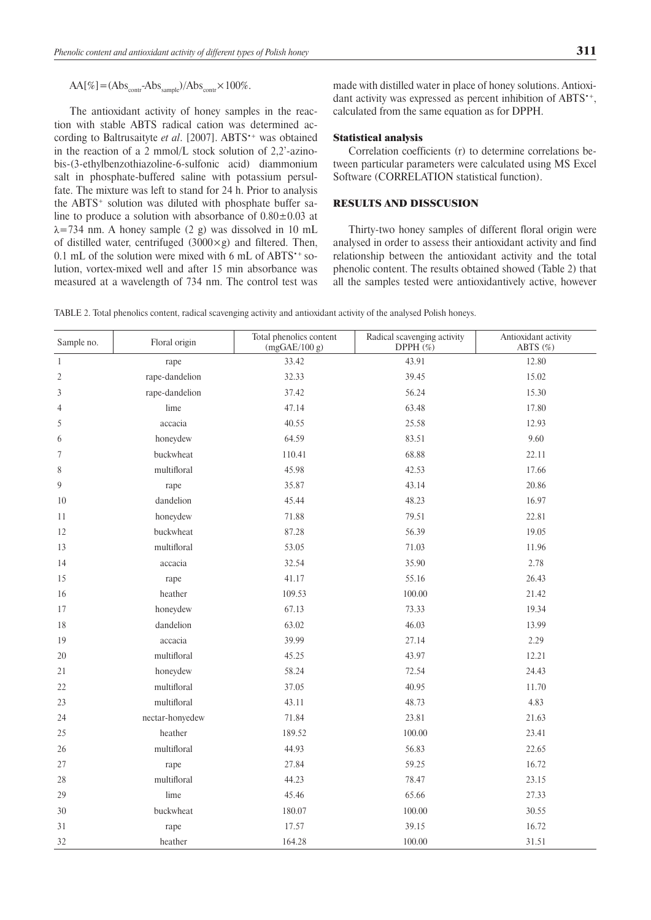# $AA[\%]=(Abs_{\text{contr}}-Abs_{\text{sample}})/Abs_{\text{contr}} \times 100\%.$

The antioxidant activity of honey samples in the reaction with stable ABTS radical cation was determined according to Baltrusaityte et al. [2007]. ABTS<sup>\*\*</sup> was obtained in the reaction of a 2 mmol/L stock solution of 2,2'-azinobis-(3-ethylbenzothiazoline-6-sulfonic acid) diammonium salt in phosphate-buffered saline with potassium persulfate. The mixture was left to stand for 24 h. Prior to analysis the ABTS<sup>+</sup> solution was diluted with phosphate buffer saline to produce a solution with absorbance of  $0.80 \pm 0.03$  at  $\lambda$ =734 nm. A honey sample (2 g) was dissolved in 10 mL of distilled water, centrifuged  $(3000 \times g)$  and filtered. Then, 0.1 mL of the solution were mixed with 6 mL of ABTS•+ solution, vortex-mixed well and after 15 min absorbance was measured at a wavelength of 734 nm. The control test was made with distilled water in place of honey solutions. Antioxidant activity was expressed as percent inhibition of ABTS<sup>++</sup>, calculated from the same equation as for DPPH.

# Statistical analysis

Correlation coefficients (r) to determine correlations between particular parameters were calculated using MS Excel Software (CORRELATION statistical function).

## RESULTS AND DISSCUSION

Thirty-two honey samples of different floral origin were analysed in order to assess their antioxidant activity and find relationship between the antioxidant activity and the total phenolic content. The results obtained showed (Table 2) that all the samples tested were antioxidantively active, however

|  |  | TABLE 2. Total phenolics content, radical scavenging activity and antioxidant activity of the analysed Polish honeys. |  |  |  |  |  |  |
|--|--|-----------------------------------------------------------------------------------------------------------------------|--|--|--|--|--|--|
|--|--|-----------------------------------------------------------------------------------------------------------------------|--|--|--|--|--|--|

| Sample no.     | Floral origin   | Total phenolics content<br>(mgGAE/100 g) | Radical scavenging activity<br>DPPH $(\%)$ | Antioxidant activity<br>ABTS $(\%)$ |
|----------------|-----------------|------------------------------------------|--------------------------------------------|-------------------------------------|
| $\mathbf{1}$   | rape            | 33.42                                    | 43.91                                      | 12.80                               |
| $\sqrt{2}$     | rape-dandelion  | 32.33                                    | 39.45                                      | 15.02                               |
| 3              | rape-dandelion  | 37.42                                    | 56.24                                      | 15.30                               |
| 4              | lime            | 47.14                                    | 63.48                                      | 17.80                               |
| 5              | accacia         | 40.55                                    | 25.58                                      | 12.93                               |
| 6              | honeydew        | 64.59                                    | 83.51                                      | 9.60                                |
| $\overline{7}$ | buckwheat       | 110.41                                   | 68.88                                      | 22.11                               |
| 8              | multifloral     | 45.98                                    | 42.53                                      | 17.66                               |
| 9              | rape            | 35.87                                    | 43.14                                      | 20.86                               |
| 10             | dandelion       | 45.44                                    | 48.23                                      | 16.97                               |
| 11             | honeydew        | 71.88                                    | 79.51                                      | 22.81                               |
| 12             | buckwheat       | 87.28                                    | 56.39                                      | 19.05                               |
| 13             | multifloral     | 53.05                                    | 71.03                                      | 11.96                               |
| 14             | accacia         | 32.54                                    | 35.90                                      | 2.78                                |
| 15             | rape            | 41.17                                    | 55.16                                      | 26.43                               |
| 16             | heather         | 109.53                                   | 100.00                                     | 21.42                               |
| 17             | honeydew        | 67.13                                    | 73.33                                      | 19.34                               |
| 18             | dandelion       | 63.02                                    | 46.03                                      | 13.99                               |
| 19             | accacia         | 39.99                                    | 27.14                                      | 2.29                                |
| 20             | multifloral     | 45.25                                    | 43.97                                      | 12.21                               |
| 21             | honeydew        | 58.24                                    | 72.54                                      | 24.43                               |
| 22             | multifloral     | 37.05                                    | 40.95                                      | 11.70                               |
| 23             | multifloral     | 43.11                                    | 48.73                                      | 4.83                                |
| 24             | nectar-honyedew | 71.84                                    | 23.81                                      | 21.63                               |
| 25             | heather         | 189.52                                   | 100.00                                     | 23.41                               |
| 26             | multifloral     | 44.93                                    | 56.83                                      | 22.65                               |
| 27             | rape            | 27.84                                    | 59.25                                      | 16.72                               |
| 28             | multifloral     | 44.23                                    | 78.47                                      | 23.15                               |
| 29             | lime            | 45.46                                    | 65.66                                      | 27.33                               |
| 30             | buckwheat       | 180.07                                   | 100.00                                     | 30.55                               |
| 31             | rape            | 17.57                                    | 39.15                                      | 16.72                               |
| 32             | heather         | 164.28                                   | 100.00                                     | 31.51                               |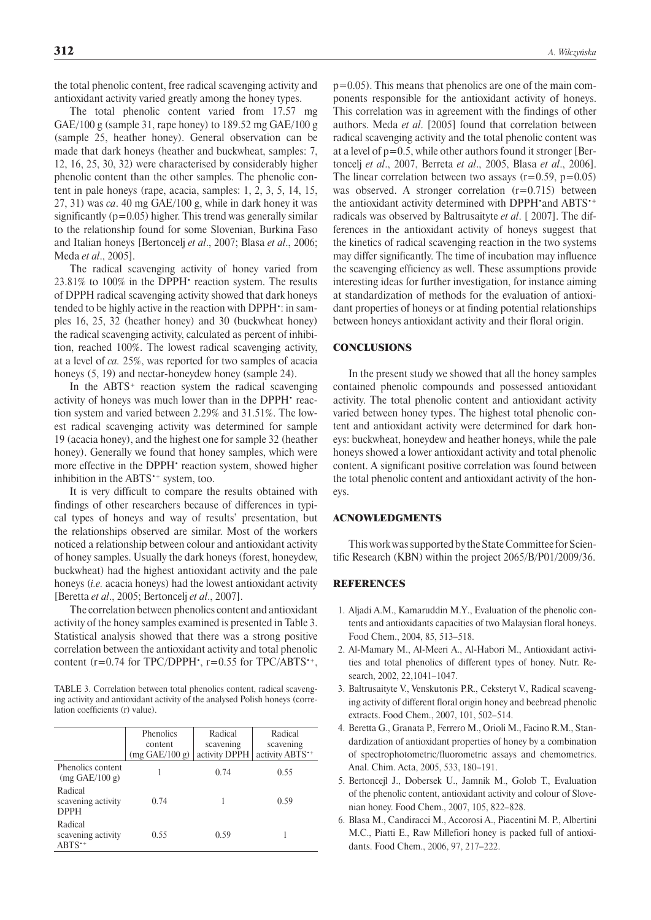the total phenolic content, free radical scavenging activity and antioxidant activity varied greatly among the honey types.

The total phenolic content varied from 17.57 mg GAE/100 g (sample 31, rape honey) to 189.52 mg GAE/100 g (sample 25, heather honey). General observation can be made that dark honeys (heather and buckwheat, samples: 7, 12, 16, 25, 30, 32) were characterised by considerably higher phenolic content than the other samples. The phenolic content in pale honeys (rape, acacia, samples: 1, 2, 3, 5, 14, 15, 27, 31) was *ca*. 40 mg GAE/100 g, while in dark honey it was significantly  $(p=0.05)$  higher. This trend was generally similar to the relationship found for some Slovenian, Burkina Faso and Italian honeys [Bertoncelj *et al*., 2007; Blasa *et al*., 2006; Meda *et al*., 2005].

The radical scavenging activity of honey varied from 23.81% to 100% in the DPPH• reaction system. The results of DPPH radical scavenging activity showed that dark honeys tended to be highly active in the reaction with DPPH•: in samples 16, 25, 32 (heather honey) and 30 (buckwheat honey) the radical scavenging activity, calculated as percent of inhibition, reached 100%. The lowest radical scavenging activity, at a level of *ca.* 25%, was reported for two samples of acacia honeys  $(5, 19)$  and nectar-honeydew honey (sample 24).

In the ABTS<sup>+</sup> reaction system the radical scavenging activity of honeys was much lower than in the DPPH<sup>•</sup> reaction system and varied between 2.29% and 31.51%. The lowest radical scavenging activity was determined for sample 19 (acacia honey), and the highest one for sample 32 (heather honey). Generally we found that honey samples, which were more effective in the DPPH<sup>•</sup> reaction system, showed higher inhibition in the ABTS<sup>\*+</sup> system, too.

It is very difficult to compare the results obtained with findings of other researchers because of differences in typical types of honeys and way of results' presentation, but the relationships observed are similar. Most of the workers noticed a relationship between colour and antioxidant activity of honey samples. Usually the dark honeys (forest, honeydew, buckwheat) had the highest antioxidant activity and the pale honeys (*i.e.* acacia honeys) had the lowest antioxidant activity [Beretta *et al*., 2005; Bertoncelj *et al*., 2007].

The correlation between phenolics content and antioxidant activity of the honey samples examined is presented in Table 3. Statistical analysis showed that there was a strong positive correlation between the antioxidant activity and total phenolic content ( $r=0.74$  for TPC/DPPH $\cdot$ ,  $r=0.55$  for TPC/ABTS $\cdot$ <sup>+</sup>,

TABLE 3. Correlation between total phenolics content, radical scavenging activity and antioxidant activity of the analysed Polish honeys (correlation coefficients (r) value).

|                                                       | <b>Phenolics</b>         | Radical       | Radical                     |
|-------------------------------------------------------|--------------------------|---------------|-----------------------------|
|                                                       | content                  | scavening     | scavening                   |
|                                                       | $(mg \text{ GAE}/100 g)$ | activity DPPH | activity ABTS <sup>++</sup> |
| Phenolics content<br>$(mg \text{ GAE}/100 g)$         |                          | 0.74          | 0.55                        |
| Radical<br>scavening activity<br><b>DPPH</b>          | 0.74                     |               | 0.59                        |
| Radical<br>scavening activity<br>$ABTS$ <sup>++</sup> | 0.55                     | 0.59          |                             |
|                                                       |                          |               |                             |

p=0.05). This means that phenolics are one of the main components responsible for the antioxidant activity of honeys. This correlation was in agreement with the findings of other authors. Meda *et al*. [2005] found that correlation between

radical scavenging activity and the total phenolic content was at a level of  $p=0.5$ , while other authors found it stronger [Bertoncelj *et al*., 2007, Berreta *et al*., 2005, Blasa *et al*., 2006]. The linear correlation between two assays  $(r=0.59, p=0.05)$ was observed. A stronger correlation  $(r=0.715)$  between the antioxidant activity determined with DPPH $\cdot$ and ABTS $\cdot$ + radicals was observed by Baltrusaityte *et al*. [ 2007]. The differences in the antioxidant activity of honeys suggest that the kinetics of radical scavenging reaction in the two systems may differ significantly. The time of incubation may influence the scavenging efficiency as well. These assumptions provide interesting ideas for further investigation, for instance aiming at standardization of methods for the evaluation of antioxidant properties of honeys or at finding potential relationships between honeys antioxidant activity and their floral origin.

### **CONCLUSIONS**

In the present study we showed that all the honey samples contained phenolic compounds and possessed antioxidant activity. The total phenolic content and antioxidant activity varied between honey types. The highest total phenolic content and antioxidant activity were determined for dark honeys: buckwheat, honeydew and heather honeys, while the pale honeys showed a lower antioxidant activity and total phenolic content. A significant positive correlation was found between the total phenolic content and antioxidant activity of the honeys.

### ACNOWLEDGMENTS

This work was supported by the State Committee for Scientific Research (KBN) within the project 2065/B/P01/2009/36.

### REFERENCES

- 1. Aljadi A.M., Kamaruddin M.Y., Evaluation of the phenolic contents and antioxidants capacities of two Malaysian floral honeys. Food Chem., 2004, 85, 513–518.
- 2. Al-Mamary M., Al-Meeri A., Al-Habori M., Antioxidant activities and total phenolics of different types of honey. Nutr. Research, 2002, 22,1041–1047.
- 3. Baltrusaityte V., Venskutonis P.R., Ceksteryt V., Radical scavenging activity of different floral origin honey and beebread phenolic extracts. Food Chem., 2007, 101, 502–514.
- 4. Beretta G., Granata P., Ferrero M., Orioli M., Facino R.M., Standardization of antioxidant properties of honey by a combination of spectrophotometric/fluorometric assays and chemometrics. Anal. Chim. Acta, 2005, 533, 180–191.
- 5. Bertoncejl J., Dobersek U., Jamnik M., Golob T., Evaluation of the phenolic content, antioxidant activity and colour of Slovenian honey. Food Chem., 2007, 105, 822–828.
- 6. Blasa M., Candiracci M., Accorosi A., Piacentini M. P., Albertini M.C., Piatti E., Raw Millefiori honey is packed full of antioxidants. Food Chem., 2006, 97, 217–222.